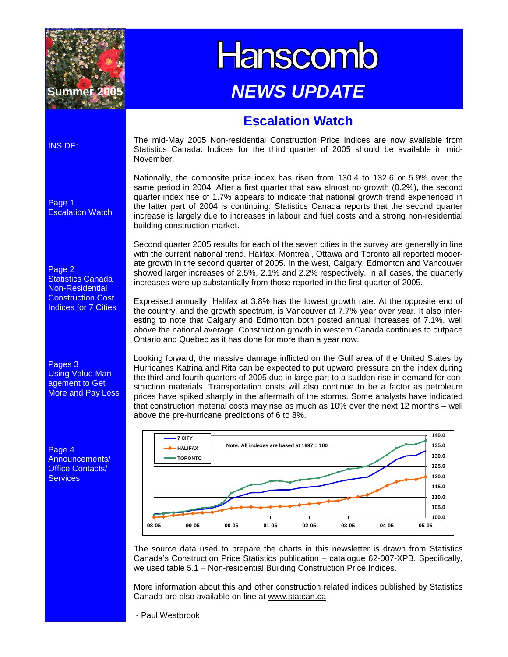

# **Hanscomb** *NEWS UPDATE*

## **Escalation Watch**

#### INSIDE:

Page 1 Escalation Watch

Page 2 Statistics Canada Non-Residential Construction Cost Indices for 7 Cities

Pages 3 Using Value Management to Get More and Pay Less

Page 4 Announcements/ Office Contacts/ **Services** 

The mid-May 2005 Non-residential Construction Price Indices are now available from Statistics Canada. Indices for the third quarter of 2005 should be available in mid-November.

Nationally, the composite price index has risen from 130.4 to 132.6 or 5.9% over the same period in 2004. After a first quarter that saw almost no growth (0.2%), the second quarter index rise of 1.7% appears to indicate that national growth trend experienced in the latter part of 2004 is continuing. Statistics Canada reports that the second quarter increase is largely due to increases in labour and fuel costs and a strong non-residential building construction market.

Second quarter 2005 results for each of the seven cities in the survey are generally in line with the current national trend. Halifax, Montreal, Ottawa and Toronto all reported moderate growth in the second quarter of 2005. In the west, Calgary, Edmonton and Vancouver showed larger increases of 2.5%, 2.1% and 2.2% respectively. In all cases, the quarterly increases were up substantially from those reported in the first quarter of 2005.

Expressed annually, Halifax at 3.8% has the lowest growth rate. At the opposite end of the country, and the growth spectrum, is Vancouver at 7.7% year over year. It also interesting to note that Calgary and Edmonton both posted annual increases of 7.1%, well above the national average. Construction growth in western Canada continues to outpace Ontario and Quebec as it has done for more than a year now.

Looking forward, the massive damage inflicted on the Gulf area of the United States by Hurricanes Katrina and Rita can be expected to put upward pressure on the index during the third and fourth quarters of 2005 due in large part to a sudden rise in demand for construction materials. Transportation costs will also continue to be a factor as petroleum prices have spiked sharply in the aftermath of the storms. Some analysts have indicated that construction material costs may rise as much as 10% over the next 12 months – well above the pre-hurricane predictions of 6 to 8%.



The source data used to prepare the charts in this newsletter is drawn from Statistics Canada's Construction Price Statistics publication – catalogue 62-007-XPB. Specifically, we used table 5.1 – Non-residential Building Construction Price Indices.

More information about this and other construction related indices published by Statistics Canada are also available on line at www.statcan.ca

- Paul Westbrook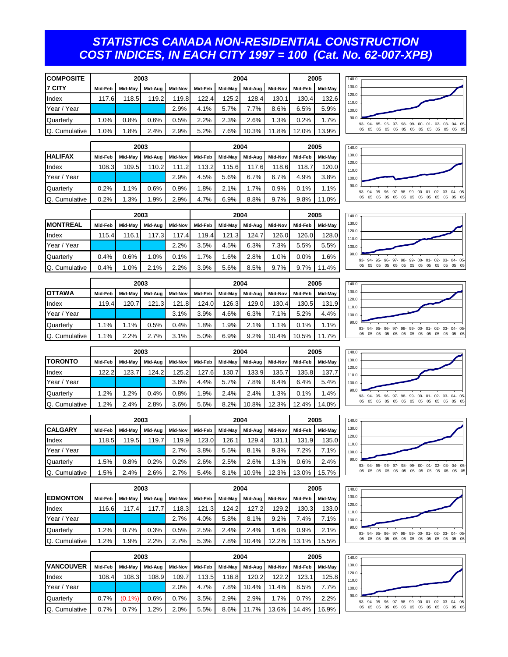#### *STATISTICS CANADA NON-RESIDENTIAL CONSTRUCTION COST INDICES, IN EACH CITY 1997 = 100 (Cat. No. 62-007-XPB)*

| <b>COMPOSITE</b> |         | 2003    |         |         |         | 2004    |         | 2005           |         |         |
|------------------|---------|---------|---------|---------|---------|---------|---------|----------------|---------|---------|
| <b>17 CITY</b>   | Mid-Feb | Mid-May | Mid-Aug | Mid-Nov | Mid-Feb | Mid-May | Mid-Aug | <b>Mid-Nov</b> | Mid-Feb | Mid-May |
| Index            | 117.6   | 118.5   | 119.2   | 119.8   | 122.4   | 125.2   | 128.4   | 130.1          | 130.4   | 132.6   |
| Year / Year      |         |         |         | 2.9%    | 4.1%    | 5.7%    | 7.7%    | 8.6%           | 6.5%    | 5.9%    |
| <b>Ouarterly</b> | 1.0%    | 0.8%    | 0.6%    | 0.5%    | 2.2%    | 2.3%    | 2.6%    | 1.3%           | 0.2%    | 1.7%    |
| O. Cumulative    | 1.0%    | .8%     | 2.4%    | 2.9%    | 5.2%    | 7.6%    | 10.3%   | 11.8%          | 12.0%   | 13.9%   |

|                  |         |         | 2003    |         |         | 2004    |         | 2005           |         |         |
|------------------|---------|---------|---------|---------|---------|---------|---------|----------------|---------|---------|
| <b>HALIFAX</b>   | Mid-Feb | Mid-May | Mid-Aug | Mid-Nov | Mid-Feb | Mid-May | Mid-Aug | <b>Mid-Nov</b> | Mid-Feb | Mid-May |
| Index            | 108.3   | 109.5   | 110.2   | 111.2   | 113.2   | 115.6   | 117.6   | 118.6          | 118.7   | 120.0   |
| Year / Year      |         |         |         | 2.9%    | 4.5%    | 5.6%    | 6.7%    | 6.7%           | 4.9%    | 3.8%    |
| <b>Quarterly</b> | 0.2%    | 1.1%    | 0.6%    | 0.9%    | 1.8%    | 2.1%    | 1.7%    | 0.9%           | 0.1%    | 1.1%    |
| Q. Cumulative    | 0.2%    | 1.3%    | $.9\%$  | 2.9%    | 4.7%    | 6.9%    | 8.8%    | 9.7%           | 9.8%    | 11.0%   |





|                 |         |         | 2003      |         | 2004    |         |       |                 |         | 2005    | 140.0                                                       |
|-----------------|---------|---------|-----------|---------|---------|---------|-------|-----------------|---------|---------|-------------------------------------------------------------|
| <b>MONTREAL</b> | Mid-Feb | Mid-May | Mid-Aua I | Mid-Nov | Mid-Feb | Mid-May |       | Mid-Aug Mid-Nov | Mid-Feb | Mid-Mav | 130.0                                                       |
| Index           | 15.4.   | 116.1   | 117.3     | 117.4   | 119.41  | 121.3   | 124.7 | 126.0           | 126.0   | 128.0   | 120.0<br>110.0                                              |
| Year / Year     |         |         |           | 2.2%    | 3.5%    | 4.5%    | 6.3%  | .3%             | 5.5%    | 5.5%    | 100.0                                                       |
| Quarterly       | 0.4%    | 0.6%    | .0%       | $0.1\%$ | .7%     | $.6\%$  | 2.8%  | .0%             | $0.0\%$ | 1.6%    | 90.C<br>93- 94- 95- 96- 97- 98- 99- 00- 01- 02- 03- 04- 05- |
| Q. Cumulative   | 0.4%    | .0%     | 2.1%      | 2.2%    | 3.9%    | 5.6%    | 8.5%  | 9.7%            | 9.7%    | 11.4%   |                                                             |











| Quarterly       | 0.2%    | 1.1%    | 0.6%    | 0.9%    | 1.8%    | 2.1%    | 1.7%    | 0.9%           | 0.1%    | 1.1%    |
|-----------------|---------|---------|---------|---------|---------|---------|---------|----------------|---------|---------|
| Q. Cumulative   | 0.2%    | 1.3%    | .9%     | 2.9%    | 4.7%    | 6.9%    | 8.8%    | 9.7%           | 9.8%    | 11.0%   |
|                 |         |         |         |         |         |         |         |                |         |         |
|                 | 2003    |         |         |         | 2004    |         | 2005    |                |         |         |
| <b>MONTREAL</b> | Mid-Feb | Mid-May | Mid-Aug | Mid-Nov | Mid-Feb | Mid-May | Mid-Aua | <b>Mid-Nov</b> | Mid-Feb | Mid-May |
| Index           | 115.4   | 116.1   | 117.3   | 117.4   | 119.4   | 121.3   | 124.7   | 126.0          | 126.0   | 128.0   |
| Year / Year     |         |         |         | 2.2%    | 3.5%    | 4.5%    | 6.3%    | 7.3%           | 5.5%    | 5.5%    |

|                  |         |         | 2003    |         |         | 2004    | 2005    |         |         |         |
|------------------|---------|---------|---------|---------|---------|---------|---------|---------|---------|---------|
| <b>IOTTAWA</b>   | Mid-Feb | Mid-May | Mid-Aug | Mid-Nov | Mid-Feb | Mid-May | Mid-Aug | Mid-Nov | Mid-Feb | Mid-May |
| Index            | 119.4   | 120.7   | 121.3   | 121.8   | 124.0   | 126.3   | 129.0   | 130.4   | 130.5   | 131.9   |
| Year / Year      |         |         |         | 3.1%    | 3.9%    | 4.6%    | 6.3%    | 7.1%    | 5.2%    | 4.4%    |
| <b>Quarterly</b> | 1.1%    | 1.1%    | 0.5%    | 0.4%    | 1.8%    | 1.9%    | 2.1%    | 1.1%    | 0.1%    | 1.1%    |
| O. Cumulative    | 1.1%    | 2.2%    | 2.7%    | 3.1%    | 5.0%    | 6.9%    | 9.2%    | 10.4%   | 10.5%   | 11.7%   |

|                  |         |         | 2003    |         |         | 2004    | 2005    |         |         |         |
|------------------|---------|---------|---------|---------|---------|---------|---------|---------|---------|---------|
| <b>I</b> TORONTO | Mid-Feb | Mid-May | Mid-Aug | Mid-Nov | Mid-Feb | Mid-May | Mid-Aua | Mid-Nov | Mid-Feb | Mid-May |
| Index            | 122.2   | 123.7   | 124.2   | 125.2   | 127.6   | 130.7   | 133.9   | 135.7   | 135.8   | 137.7   |
| Year / Year      |         |         |         | 3.6%    | 4.4%    | 5.7%    | 7.8%    | 8.4%    | 6.4%    | 5.4%    |
| Quarterly        | 1.2%    | 1.2%    | 0.4%    | 0.8%    | 1.9%    | 2.4%    | 2.4%    | 1.3%    | 0.1%    | 1.4%    |
| Q. Cumulative    | 1.2%    | 2.4%    | 2.8%    | 3.6%    | 5.6%    | 8.2%    | 10.8%   | 12.3%   | 12.4%   | 14.0%   |

|                | 2003    |         |         |         |         | 2004    |         | 2005    |         |         |
|----------------|---------|---------|---------|---------|---------|---------|---------|---------|---------|---------|
| <b>CALGARY</b> | Mid-Feb | Mid-May | Mid-Aua | Mid-Nov | Mid-Feb | Mid-May | Mid-Aug | Mid-Nov | Mid-Feb | Mid-May |
| Index          | 118.5   | 119.5   | 119.7   | 119.9   | 123.0   | 126.1   | 129.4   | 131.1   | 131.9   | 135.0   |
| Year / Year    |         |         |         | 2.7%    | 3.8%    | 5.5%    | 8.1%    | 9.3%    | 7.2%    | 7.1%    |
| Quarterly      | 1.5%    | 0.8%    | 0.2%    | 0.2%    | 2.6%    | 2.5%    | 2.6%    | 1.3%    | 0.6%    | 2.4%    |
| Q. Cumulative  | 1.5%    | 2.4%    | 2.6%    | 2.7%    | 5.4%    | 8.1%    | 10.9%   | 12.3%   | 13.0%   | 15.7%   |

|                 |         |         | 2003    |         |         | 2004    |         | 2005    |         |         |
|-----------------|---------|---------|---------|---------|---------|---------|---------|---------|---------|---------|
| <b>EDMONTON</b> | Mid-Feb | Mid-May | Mid-Aug | Mid-Nov | Mid-Feb | Mid-May | Mid-Aua | Mid-Nov | Mid-Feb | Mid-Mav |
| Index           | 116.6   | 117.4   | 117.7   | 118.3   | 121.3   | 124.2   | 127.2   | 129.2   | 130.3   | 133.0   |
| Year / Year     |         |         |         | 2.7%    | 4.0%    | 5.8%    | 8.1%    | 9.2%    | 7.4%    | 7.1%    |
| Quarterly       | 1.2%    | 0.7%    | 0.3%    | 0.5%    | 2.5%    | 2.4%    | 2.4%    | 1.6%    | 0.9%    | 2.1%    |
| Q. Cumulative   | 1.2%    | 1.9%    | 2.2%    | 2.7%    | 5.3%    | 7.8%    | 10.4%   | 12.2%   | 13.1%   | 15.5%   |

|                  | 2003    |           |         |         |         | 2004    |         | 2005    |         |         |
|------------------|---------|-----------|---------|---------|---------|---------|---------|---------|---------|---------|
| <b>VANCOUVER</b> | Mid-Feb | Mid-May   | Mid-Aug | Mid-Nov | Mid-Feb | Mid-May | Mid-Aug | Mid-Nov | Mid-Feb | Mid-May |
| Index            | 108.4   | 108.3     | 108.9   | 109.7   | 113.5   | 116.8   | 120.2   | 122.2   | 123.1   | 125.8   |
| Year / Year      |         |           |         | 2.0%    | 4.7%    | 7.8%    | 10.4%   | 11.4%   | 8.5%    | 7.7%    |
| <b>Quarterly</b> | 0.7%    | $(0.1\%)$ | 0.6%    | 0.7%    | 3.5%    | 2.9%    | 2.9%    | 1.7%    | 0.7%    | 2.2%    |
| Q. Cumulative    | 0.7%    | 0.7%      | .2%     | 2.0%    | 5.5%    | 8.6%    | 11.7%   | 13.6%   | 14.4%   | 16.9%   |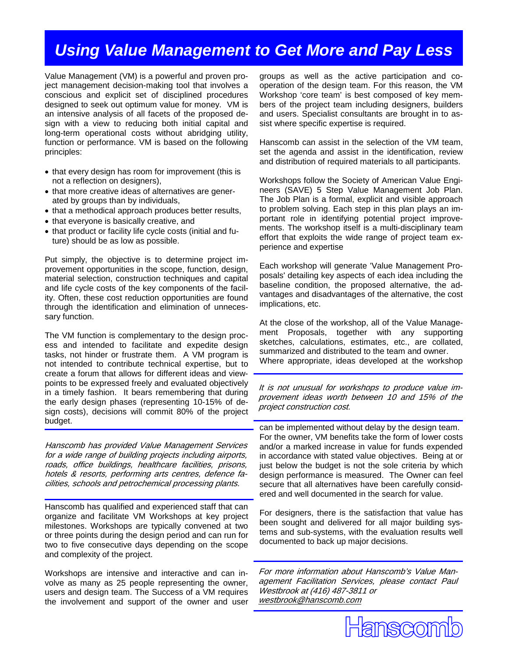# *Using Value Management to Get More and Pay Less*

Value Management (VM) is a powerful and proven project management decision-making tool that involves a conscious and explicit set of disciplined procedures designed to seek out optimum value for money. VM is an intensive analysis of all facets of the proposed design with a view to reducing both initial capital and long-term operational costs without abridging utility, function or performance. VM is based on the following principles:

- that every design has room for improvement (this is not a reflection on designers),
- that more creative ideas of alternatives are generated by groups than by individuals,
- that a methodical approach produces better results,
- that everyone is basically creative, and
- that product or facility life cycle costs (initial and future) should be as low as possible.

Put simply, the objective is to determine project improvement opportunities in the scope, function, design, material selection, construction techniques and capital and life cycle costs of the key components of the facility. Often, these cost reduction opportunities are found through the identification and elimination of unnecessary function.

The VM function is complementary to the design process and intended to facilitate and expedite design tasks, not hinder or frustrate them. A VM program is not intended to contribute technical expertise, but to create a forum that allows for different ideas and viewpoints to be expressed freely and evaluated objectively in a timely fashion. It bears remembering that during the early design phases (representing 10-15% of design costs), decisions will commit 80% of the project budget.

Hanscomb has provided Value Management Services for a wide range of building projects including airports, roads, office buildings, healthcare facilities, prisons, hotels & resorts, performing arts centres, defence facilities, schools and petrochemical processing plants.

Hanscomb has qualified and experienced staff that can organize and facilitate VM Workshops at key project milestones. Workshops are typically convened at two or three points during the design period and can run for two to five consecutive days depending on the scope and complexity of the project.

Workshops are intensive and interactive and can involve as many as 25 people representing the owner, users and design team. The Success of a VM requires the involvement and support of the owner and user groups as well as the active participation and cooperation of the design team. For this reason, the VM Workshop 'core team' is best composed of key members of the project team including designers, builders and users. Specialist consultants are brought in to assist where specific expertise is required.

Hanscomb can assist in the selection of the VM team, set the agenda and assist in the identification, review and distribution of required materials to all participants.

Workshops follow the Society of American Value Engineers (SAVE) 5 Step Value Management Job Plan. The Job Plan is a formal, explicit and visible approach to problem solving. Each step in this plan plays an important role in identifying potential project improvements. The workshop itself is a multi-disciplinary team effort that exploits the wide range of project team experience and expertise

Each workshop will generate 'Value Management Proposals' detailing key aspects of each idea including the baseline condition, the proposed alternative, the advantages and disadvantages of the alternative, the cost implications, etc.

At the close of the workshop, all of the Value Management Proposals, together with any supporting sketches, calculations, estimates, etc., are collated, summarized and distributed to the team and owner. Where appropriate, ideas developed at the workshop

It is not unusual for workshops to produce value improvement ideas worth between 10 and 15% of the project construction cost.

can be implemented without delay by the design team. For the owner, VM benefits take the form of lower costs and/or a marked increase in value for funds expended in accordance with stated value objectives. Being at or just below the budget is not the sole criteria by which design performance is measured. The Owner can feel secure that all alternatives have been carefully considered and well documented in the search for value.

For designers, there is the satisfaction that value has been sought and delivered for all major building systems and sub-systems, with the evaluation results well documented to back up major decisions.

For more information about Hanscomb's Value Management Facilitation Services, please contact Paul Westbrook at (416) 487-3811 or westbrook@hanscomb.com